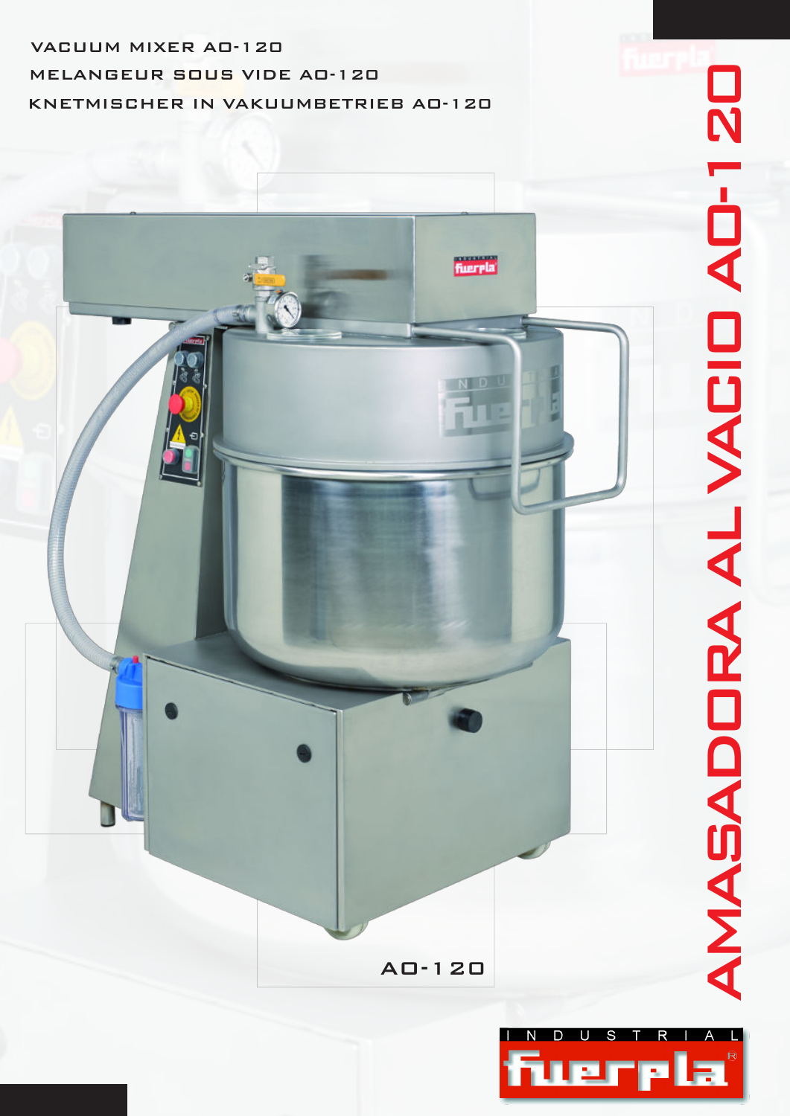# VACUUM MIXER AO-120 KNETMISCHER IN VAKUUMBETRIEB AO-120 MELANGEUR SOUS VIDE AO-120

# AMASADORA AL VACIO AO-120 AMASADORA AL VACIO AD-120



AO-120

**fuerela**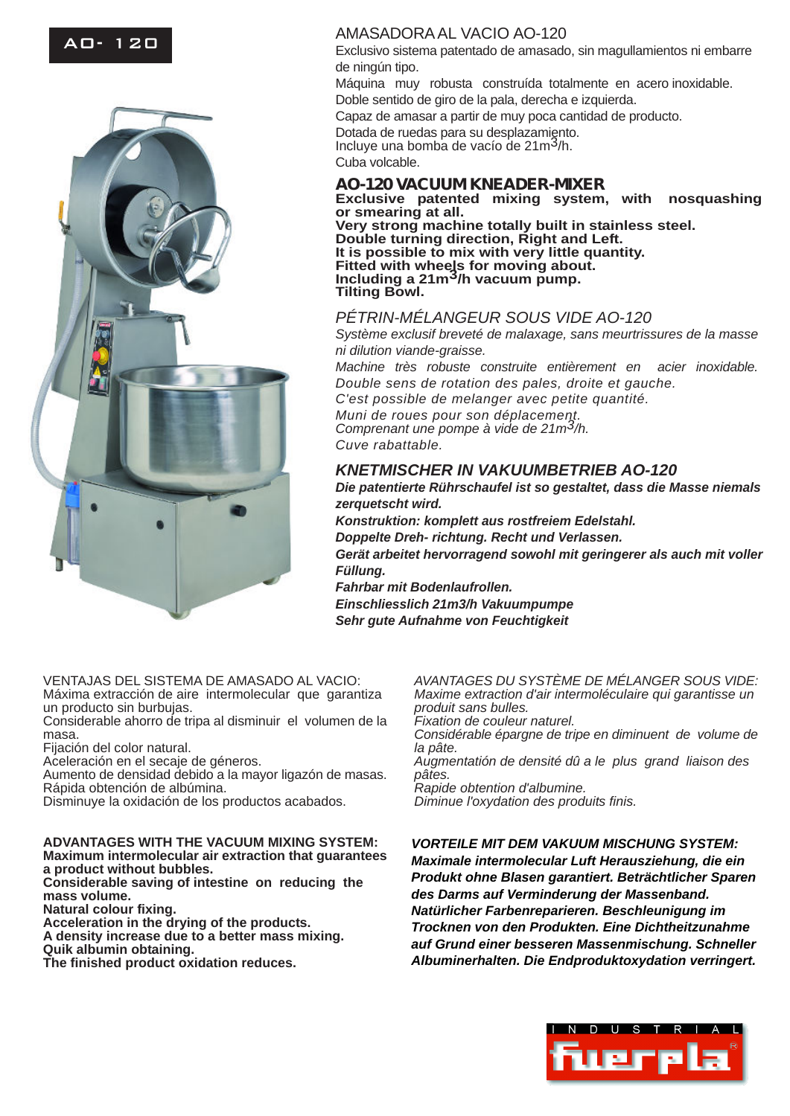# AO- 120



### AMASADORA AL VACIO AO-120

Exclusivo sistema patentado de amasado, sin magullamientos ni embarre de ningún tipo. Máquina muy robusta construída totalmente en acero inoxidable. Doble sentido de giro de la pala, derecha e izquierda. Capaz de amasar a partir de muy poca cantidad de producto. Dotada de ruedas para su desplazamiento. Incluye una bomba de vacío de 21m3/h. Cuba volcable. **AO-120 VACUUM KNEADER-MIXER Exclusive patented mixing system, with nosquashing**

**or smearing at all. Very strong machine totally built in stainless steel. Double turning direction, Right and Left. It is possible to mix with very little quantity. Fitted with wheels for moving about. Including a 21m3/h vacuum pump. Tilting Bowl.**

### *PÉTRIN-MÉLANGEUR SOUS VIDE AO-120*

*Système exclusif breveté de malaxage, sans meurtrissures de la masse ni dilution viande-graisse.*

*Machine très robuste construite entièrement en acier inoxidable. Double sens de rotation des pales, droite et gauche. C'est possible de melanger avec petite quantité. Muni de roues pour son déplacement. Comprenant une pompe à vide de 21m3/h. Cuve rabattable.*

## *KNETMISCHER IN VAKUUMBETRIEB AO-120*

*Die patentierte Rührschaufel ist so gestaltet, dass die Masse niemals zerquetscht wird.*

*Konstruktion: komplett aus rostfreiem Edelstahl. Doppelte Dreh- richtung. Recht und Verlassen. Gerät arbeitet hervorragend sowohl mit geringerer als auch mit voller Füllung.*

*Fahrbar mit Bodenlaufrollen. Einschliesslich 21m3/h Vakuumpumpe Sehr gute Aufnahme von Feuchtigkeit*

VENTAJAS DEL SISTEMA DE AMASADO AL VACIO: Máxima extracción de aire intermolecular que garantiza un producto sin burbujas.

Considerable ahorro de tripa al disminuir el volumen de la masa.

Fijación del color natural.

Aceleración en el secaje de géneros.

Aumento de densidad debido a la mayor ligazón de masas. Rápida obtención de albúmina.

Disminuye la oxidación de los productos acabados.

**ADVANTAGES WITH THE VACUUM MIXING SYSTEM: Maximum intermolecular air extraction that guarantees a product without bubbles.**

**Considerable saving of intestine on reducing the mass volume.**

**Natural colour fixing.**

**Acceleration in the drying of the products. A density increase due to a better mass mixing.**

**Quik albumin obtaining.**

**The finished product oxidation reduces.**

*AVANTAGES DU SYSTÈME DE MÉLANGER SOUS VIDE: Maxime extraction d'air intermoléculaire qui garantisse un produit sans bulles. Fixation de couleur naturel.*

*Considérable épargne de tripe en diminuent de volume de la pâte.*

*Augmentatión de densité dû a le plus grand liaison des pâtes.*

*Rapide obtention d'albumine.*

*Diminue l'oxydation des produits finis.*

*VORTEILE MIT DEM VAKUUM MISCHUNG SYSTEM: Maximale intermolecular Luft Herausziehung, die ein Produkt ohne Blasen garantiert. Beträchtlicher Sparen des Darms auf Verminderung der Massenband. Natürlicher Farbenreparieren. Beschleunigung im Trocknen von den Produkten. Eine Dichtheitzunahme auf Grund einer besseren Massenmischung. Schneller Albuminerhalten. Die Endproduktoxydation verringert.*